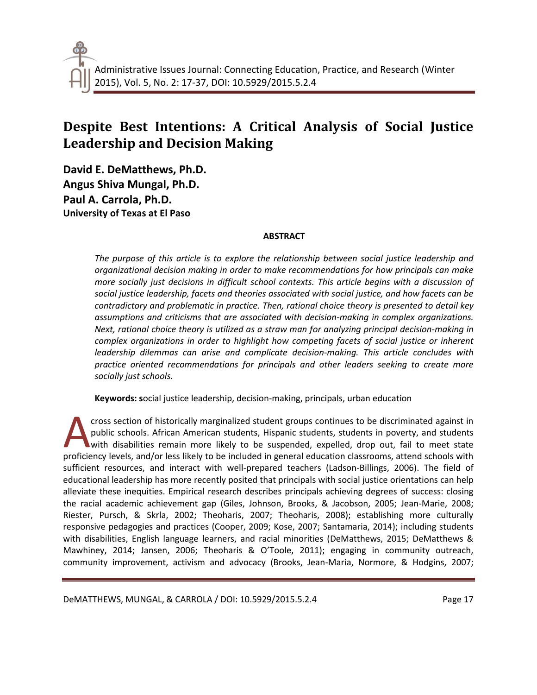# **Despite Best Intentions: A Critical Analysis of Social Justice Leadership and Decision Making**

**David E. DeMatthews, Ph.D. Angus Shiva Mungal, Ph.D. Paul A. Carrola, Ph.D. University of Texas at El Paso**

## **ABSTRACT**

*The purpose of this article is to explore the relationship between social justice leadership and organizational decision making in order to make recommendations for how principals can make more socially just decisions in difficult school contexts. This article begins with a discussion of social justice leadership, facets and theories associated with social justice, and how facets can be contradictory and problematic in practice. Then, rational choice theory is presented to detail key assumptions and criticisms that are associated with decision-making in complex organizations. Next, rational choice theory is utilized as a straw man for analyzing principal decision-making in complex organizations in order to highlight how competing facets of social justice or inherent leadership dilemmas can arise and complicate decision-making. This article concludes with practice oriented recommendations for principals and other leaders seeking to create more socially just schools.* 

**Keywords: s**ocial justice leadership, decision-making, principals, urban education

cross section of historically marginalized student groups continues to be discriminated against in public schools. African American students, Hispanic students, students in poverty, and students with disabilities remain more likely to be suspended, expelled, drop out, fail to meet state cross section of historically marginalized student groups continues to be discriminated against in public schools. African American students, Hispanic students, students in poverty, and students with disabilities remain mo sufficient resources, and interact with well-prepared teachers (Ladson-Billings, 2006). The field of educational leadership has more recently posited that principals with social justice orientations can help alleviate these inequities. Empirical research describes principals achieving degrees of success: closing the racial academic achievement gap (Giles, Johnson, Brooks, & Jacobson, 2005; Jean-Marie, 2008; Riester, Pursch, & Skrla, 2002; Theoharis, 2007; Theoharis, 2008); establishing more culturally responsive pedagogies and practices (Cooper, 2009; Kose, 2007; Santamaria, 2014); including students with disabilities, English language learners, and racial minorities (DeMatthews, 2015; DeMatthews & Mawhiney, 2014; Jansen, 2006; Theoharis & O'Toole, 2011); engaging in community outreach, community improvement, activism and advocacy (Brooks, Jean-Maria, Normore, & Hodgins, 2007;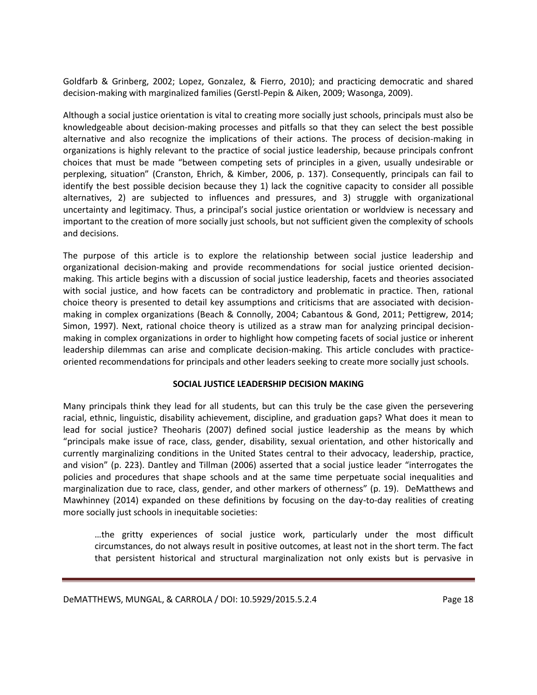Goldfarb & Grinberg, 2002; Lopez, Gonzalez, & Fierro, 2010); and practicing democratic and shared decision-making with marginalized families (Gerstl-Pepin & Aiken, 2009; Wasonga, 2009).

Although a social justice orientation is vital to creating more socially just schools, principals must also be knowledgeable about decision-making processes and pitfalls so that they can select the best possible alternative and also recognize the implications of their actions. The process of decision-making in organizations is highly relevant to the practice of social justice leadership, because principals confront choices that must be made "between competing sets of principles in a given, usually undesirable or perplexing, situation" (Cranston, Ehrich, & Kimber, 2006, p. 137). Consequently, principals can fail to identify the best possible decision because they 1) lack the cognitive capacity to consider all possible alternatives, 2) are subjected to influences and pressures, and 3) struggle with organizational uncertainty and legitimacy. Thus, a principal's social justice orientation or worldview is necessary and important to the creation of more socially just schools, but not sufficient given the complexity of schools and decisions.

The purpose of this article is to explore the relationship between social justice leadership and organizational decision-making and provide recommendations for social justice oriented decisionmaking. This article begins with a discussion of social justice leadership, facets and theories associated with social justice, and how facets can be contradictory and problematic in practice. Then, rational choice theory is presented to detail key assumptions and criticisms that are associated with decisionmaking in complex organizations (Beach & Connolly, 2004; Cabantous & Gond, 2011; Pettigrew, 2014; Simon, 1997). Next, rational choice theory is utilized as a straw man for analyzing principal decisionmaking in complex organizations in order to highlight how competing facets of social justice or inherent leadership dilemmas can arise and complicate decision-making. This article concludes with practiceoriented recommendations for principals and other leaders seeking to create more socially just schools.

## **SOCIAL JUSTICE LEADERSHIP DECISION MAKING**

Many principals think they lead for all students, but can this truly be the case given the persevering racial, ethnic, linguistic, disability achievement, discipline, and graduation gaps? What does it mean to lead for social justice? Theoharis (2007) defined social justice leadership as the means by which "principals make issue of race, class, gender, disability, sexual orientation, and other historically and currently marginalizing conditions in the United States central to their advocacy, leadership, practice, and vision" (p. 223). Dantley and Tillman (2006) asserted that a social justice leader "interrogates the policies and procedures that shape schools and at the same time perpetuate social inequalities and marginalization due to race, class, gender, and other markers of otherness" (p. 19). DeMatthews and Mawhinney (2014) expanded on these definitions by focusing on the day-to-day realities of creating more socially just schools in inequitable societies:

…the gritty experiences of social justice work, particularly under the most difficult circumstances, do not always result in positive outcomes, at least not in the short term. The fact that persistent historical and structural marginalization not only exists but is pervasive in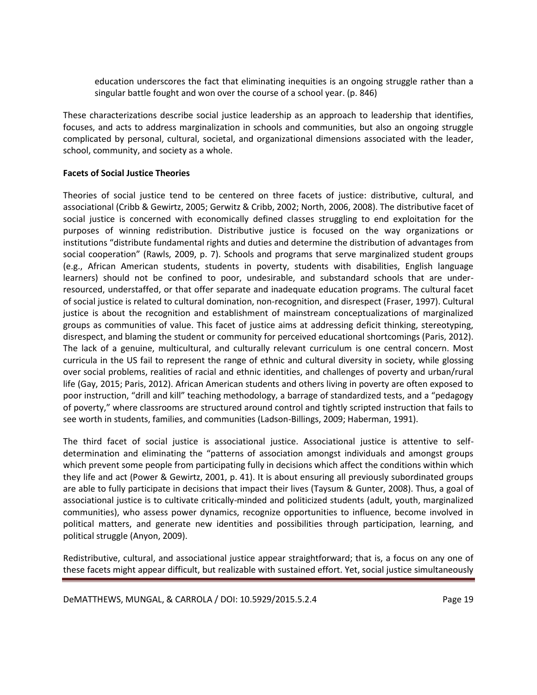education underscores the fact that eliminating inequities is an ongoing struggle rather than a singular battle fought and won over the course of a school year. (p. 846)

These characterizations describe social justice leadership as an approach to leadership that identifies, focuses, and acts to address marginalization in schools and communities, but also an ongoing struggle complicated by personal, cultural, societal, and organizational dimensions associated with the leader, school, community, and society as a whole.

## **Facets of Social Justice Theories**

Theories of social justice tend to be centered on three facets of justice: distributive, cultural, and associational (Cribb & Gewirtz, 2005; Gerwitz & Cribb, 2002; North, 2006, 2008). The distributive facet of social justice is concerned with economically defined classes struggling to end exploitation for the purposes of winning redistribution. Distributive justice is focused on the way organizations or institutions "distribute fundamental rights and duties and determine the distribution of advantages from social cooperation" (Rawls, 2009, p. 7). Schools and programs that serve marginalized student groups (e.g., African American students, students in poverty, students with disabilities, English language learners) should not be confined to poor, undesirable, and substandard schools that are underresourced, understaffed, or that offer separate and inadequate education programs. The cultural facet of social justice is related to cultural domination, non-recognition, and disrespect (Fraser, 1997). Cultural justice is about the recognition and establishment of mainstream conceptualizations of marginalized groups as communities of value. This facet of justice aims at addressing deficit thinking, stereotyping, disrespect, and blaming the student or community for perceived educational shortcomings (Paris, 2012). The lack of a genuine, multicultural, and culturally relevant curriculum is one central concern. Most curricula in the US fail to represent the range of ethnic and cultural diversity in society, while glossing over social problems, realities of racial and ethnic identities, and challenges of poverty and urban/rural life (Gay, 2015; Paris, 2012). African American students and others living in poverty are often exposed to poor instruction, "drill and kill" teaching methodology, a barrage of standardized tests, and a "pedagogy of poverty," where classrooms are structured around control and tightly scripted instruction that fails to see worth in students, families, and communities (Ladson-Billings, 2009; Haberman, 1991).

The third facet of social justice is associational justice. Associational justice is attentive to selfdetermination and eliminating the "patterns of association amongst individuals and amongst groups which prevent some people from participating fully in decisions which affect the conditions within which they life and act (Power & Gewirtz, 2001, p. 41). It is about ensuring all previously subordinated groups are able to fully participate in decisions that impact their lives (Taysum & Gunter, 2008). Thus, a goal of associational justice is to cultivate critically-minded and politicized students (adult, youth, marginalized communities), who assess power dynamics, recognize opportunities to influence, become involved in political matters, and generate new identities and possibilities through participation, learning, and political struggle (Anyon, 2009).

Redistributive, cultural, and associational justice appear straightforward; that is, a focus on any one of these facets might appear difficult, but realizable with sustained effort. Yet, social justice simultaneously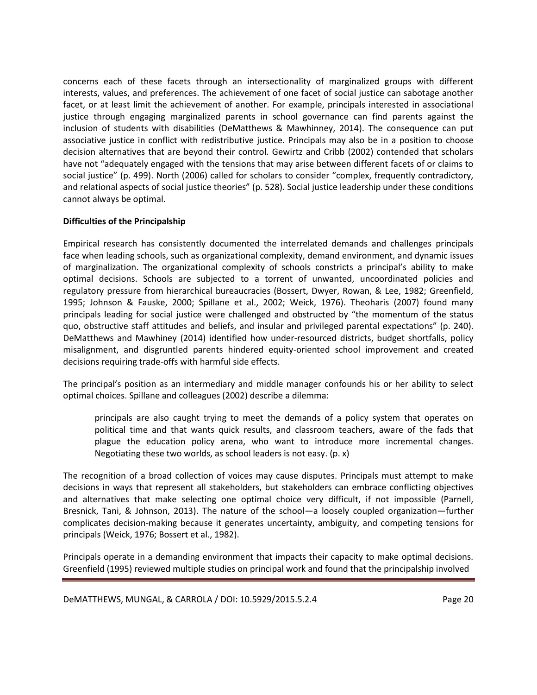concerns each of these facets through an intersectionality of marginalized groups with different interests, values, and preferences. The achievement of one facet of social justice can sabotage another facet, or at least limit the achievement of another. For example, principals interested in associational justice through engaging marginalized parents in school governance can find parents against the inclusion of students with disabilities (DeMatthews & Mawhinney, 2014). The consequence can put associative justice in conflict with redistributive justice. Principals may also be in a position to choose decision alternatives that are beyond their control. Gewirtz and Cribb (2002) contended that scholars have not "adequately engaged with the tensions that may arise between different facets of or claims to social justice" (p. 499). North (2006) called for scholars to consider "complex, frequently contradictory, and relational aspects of social justice theories" (p. 528). Social justice leadership under these conditions cannot always be optimal.

## **Difficulties of the Principalship**

Empirical research has consistently documented the interrelated demands and challenges principals face when leading schools, such as organizational complexity, demand environment, and dynamic issues of marginalization. The organizational complexity of schools constricts a principal's ability to make optimal decisions. Schools are subjected to a torrent of unwanted, uncoordinated policies and regulatory pressure from hierarchical bureaucracies (Bossert, Dwyer, Rowan, & Lee, 1982; Greenfield, 1995; Johnson & Fauske, 2000; Spillane et al., 2002; Weick, 1976). Theoharis (2007) found many principals leading for social justice were challenged and obstructed by "the momentum of the status quo, obstructive staff attitudes and beliefs, and insular and privileged parental expectations" (p. 240). DeMatthews and Mawhiney (2014) identified how under-resourced districts, budget shortfalls, policy misalignment, and disgruntled parents hindered equity-oriented school improvement and created decisions requiring trade-offs with harmful side effects.

The principal's position as an intermediary and middle manager confounds his or her ability to select optimal choices. Spillane and colleagues (2002) describe a dilemma:

principals are also caught trying to meet the demands of a policy system that operates on political time and that wants quick results, and classroom teachers, aware of the fads that plague the education policy arena, who want to introduce more incremental changes. Negotiating these two worlds, as school leaders is not easy. (p. x)

The recognition of a broad collection of voices may cause disputes. Principals must attempt to make decisions in ways that represent all stakeholders, but stakeholders can embrace conflicting objectives and alternatives that make selecting one optimal choice very difficult, if not impossible (Parnell, Bresnick, Tani, & Johnson, 2013). The nature of the school—a loosely coupled organization—further complicates decision-making because it generates uncertainty, ambiguity, and competing tensions for principals (Weick, 1976; Bossert et al., 1982).

Principals operate in a demanding environment that impacts their capacity to make optimal decisions. Greenfield (1995) reviewed multiple studies on principal work and found that the principalship involved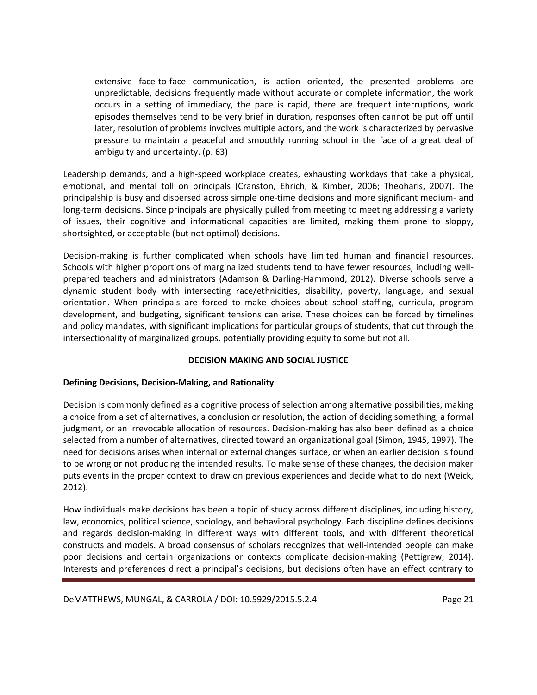extensive face-to-face communication, is action oriented, the presented problems are unpredictable, decisions frequently made without accurate or complete information, the work occurs in a setting of immediacy, the pace is rapid, there are frequent interruptions, work episodes themselves tend to be very brief in duration, responses often cannot be put off until later, resolution of problems involves multiple actors, and the work is characterized by pervasive pressure to maintain a peaceful and smoothly running school in the face of a great deal of ambiguity and uncertainty. (p. 63)

Leadership demands, and a high-speed workplace creates, exhausting workdays that take a physical, emotional, and mental toll on principals (Cranston, Ehrich, & Kimber, 2006; Theoharis, 2007). The principalship is busy and dispersed across simple one-time decisions and more significant medium- and long-term decisions. Since principals are physically pulled from meeting to meeting addressing a variety of issues, their cognitive and informational capacities are limited, making them prone to sloppy, shortsighted, or acceptable (but not optimal) decisions.

Decision-making is further complicated when schools have limited human and financial resources. Schools with higher proportions of marginalized students tend to have fewer resources, including wellprepared teachers and administrators (Adamson & Darling-Hammond, 2012). Diverse schools serve a dynamic student body with intersecting race/ethnicities, disability, poverty, language, and sexual orientation. When principals are forced to make choices about school staffing, curricula, program development, and budgeting, significant tensions can arise. These choices can be forced by timelines and policy mandates, with significant implications for particular groups of students, that cut through the intersectionality of marginalized groups, potentially providing equity to some but not all.

## **DECISION MAKING AND SOCIAL JUSTICE**

## **Defining Decisions, Decision-Making, and Rationality**

Decision is commonly defined as a cognitive process of selection among alternative possibilities, making a choice from a set of alternatives, a conclusion or resolution, the action of deciding something, a formal judgment, or an irrevocable allocation of resources. Decision-making has also been defined as a choice selected from a number of alternatives, directed toward an organizational goal (Simon, 1945, 1997). The need for decisions arises when internal or external changes surface, or when an earlier decision is found to be wrong or not producing the intended results. To make sense of these changes, the decision maker puts events in the proper context to draw on previous experiences and decide what to do next (Weick, 2012).

How individuals make decisions has been a topic of study across different disciplines, including history, law, economics, political science, sociology, and behavioral psychology. Each discipline defines decisions and regards decision-making in different ways with different tools, and with different theoretical constructs and models. A broad consensus of scholars recognizes that well-intended people can make poor decisions and certain organizations or contexts complicate decision-making (Pettigrew, 2014). Interests and preferences direct a principal's decisions, but decisions often have an effect contrary to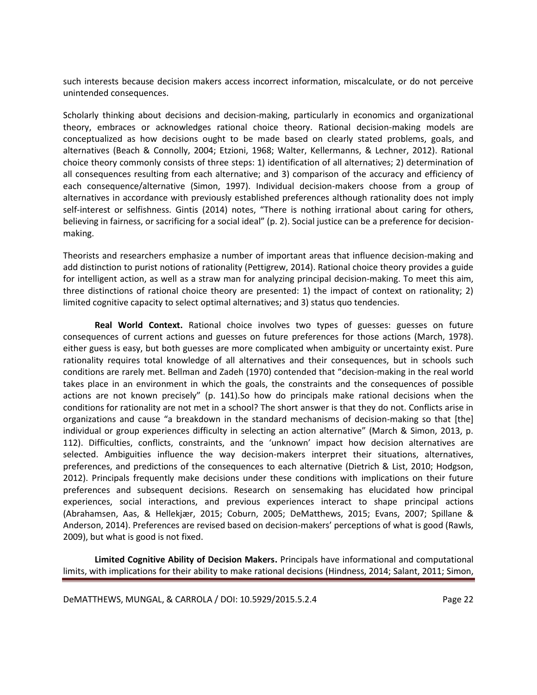such interests because decision makers access incorrect information, miscalculate, or do not perceive unintended consequences.

Scholarly thinking about decisions and decision-making, particularly in economics and organizational theory, embraces or acknowledges rational choice theory. Rational decision-making models are conceptualized as how decisions ought to be made based on clearly stated problems, goals, and alternatives (Beach & Connolly, 2004; Etzioni, 1968; Walter, Kellermanns, & Lechner, 2012). Rational choice theory commonly consists of three steps: 1) identification of all alternatives; 2) determination of all consequences resulting from each alternative; and 3) comparison of the accuracy and efficiency of each consequence/alternative (Simon, 1997). Individual decision-makers choose from a group of alternatives in accordance with previously established preferences although rationality does not imply self-interest or selfishness. Gintis (2014) notes, "There is nothing irrational about caring for others, believing in fairness, or sacrificing for a social ideal" (p. 2). Social justice can be a preference for decisionmaking.

Theorists and researchers emphasize a number of important areas that influence decision-making and add distinction to purist notions of rationality (Pettigrew, 2014). Rational choice theory provides a guide for intelligent action, as well as a straw man for analyzing principal decision-making. To meet this aim, three distinctions of rational choice theory are presented: 1) the impact of context on rationality; 2) limited cognitive capacity to select optimal alternatives; and 3) status quo tendencies.

**Real World Context.** Rational choice involves two types of guesses: guesses on future consequences of current actions and guesses on future preferences for those actions (March, 1978). either guess is easy, but both guesses are more complicated when ambiguity or uncertainty exist. Pure rationality requires total knowledge of all alternatives and their consequences, but in schools such conditions are rarely met. Bellman and Zadeh (1970) contended that "decision-making in the real world takes place in an environment in which the goals, the constraints and the consequences of possible actions are not known precisely" (p. 141).So how do principals make rational decisions when the conditions for rationality are not met in a school? The short answer is that they do not. Conflicts arise in organizations and cause "a breakdown in the standard mechanisms of decision-making so that [the] individual or group experiences difficulty in selecting an action alternative" (March & Simon, 2013, p. 112). Difficulties, conflicts, constraints, and the 'unknown' impact how decision alternatives are selected. Ambiguities influence the way decision-makers interpret their situations, alternatives, preferences, and predictions of the consequences to each alternative (Dietrich & List, 2010; Hodgson, 2012). Principals frequently make decisions under these conditions with implications on their future preferences and subsequent decisions. Research on sensemaking has elucidated how principal experiences, social interactions, and previous experiences interact to shape principal actions (Abrahamsen, Aas, & Hellekjær, 2015; Coburn, 2005; DeMatthews, 2015; Evans, 2007; Spillane & Anderson, 2014). Preferences are revised based on decision-makers' perceptions of what is good (Rawls, 2009), but what is good is not fixed.

**Limited Cognitive Ability of Decision Makers.** Principals have informational and computational limits, with implications for their ability to make rational decisions (Hindness, 2014; Salant, 2011; Simon,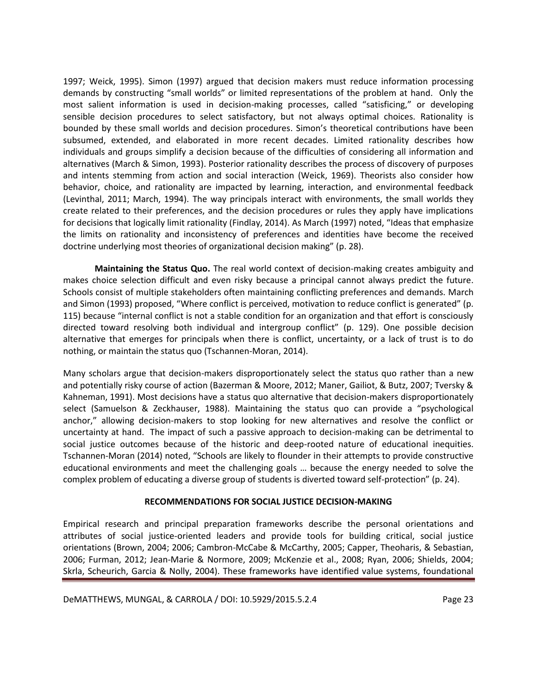1997; Weick, 1995). Simon (1997) argued that decision makers must reduce information processing demands by constructing "small worlds" or limited representations of the problem at hand. Only the most salient information is used in decision-making processes, called "satisficing," or developing sensible decision procedures to select satisfactory, but not always optimal choices. Rationality is bounded by these small worlds and decision procedures. Simon's theoretical contributions have been subsumed, extended, and elaborated in more recent decades. Limited rationality describes how individuals and groups simplify a decision because of the difficulties of considering all information and alternatives (March & Simon, 1993). Posterior rationality describes the process of discovery of purposes and intents stemming from action and social interaction (Weick, 1969). Theorists also consider how behavior, choice, and rationality are impacted by learning, interaction, and environmental feedback (Levinthal, 2011; March, 1994). The way principals interact with environments, the small worlds they create related to their preferences, and the decision procedures or rules they apply have implications for decisions that logically limit rationality (Findlay, 2014). As March (1997) noted, "Ideas that emphasize the limits on rationality and inconsistency of preferences and identities have become the received doctrine underlying most theories of organizational decision making" (p. 28).

**Maintaining the Status Quo.** The real world context of decision-making creates ambiguity and makes choice selection difficult and even risky because a principal cannot always predict the future. Schools consist of multiple stakeholders often maintaining conflicting preferences and demands. March and Simon (1993) proposed, "Where conflict is perceived, motivation to reduce conflict is generated" (p. 115) because "internal conflict is not a stable condition for an organization and that effort is consciously directed toward resolving both individual and intergroup conflict" (p. 129). One possible decision alternative that emerges for principals when there is conflict, uncertainty, or a lack of trust is to do nothing, or maintain the status quo (Tschannen-Moran, 2014).

Many scholars argue that decision-makers disproportionately select the status quo rather than a new and potentially risky course of action (Bazerman & Moore, 2012; Maner, Gailiot, & Butz, 2007; Tversky & Kahneman, 1991). Most decisions have a status quo alternative that decision-makers disproportionately select (Samuelson & Zeckhauser, 1988). Maintaining the status quo can provide a "psychological anchor," allowing decision-makers to stop looking for new alternatives and resolve the conflict or uncertainty at hand. The impact of such a passive approach to decision-making can be detrimental to social justice outcomes because of the historic and deep-rooted nature of educational inequities. Tschannen-Moran (2014) noted, "Schools are likely to flounder in their attempts to provide constructive educational environments and meet the challenging goals … because the energy needed to solve the complex problem of educating a diverse group of students is diverted toward self-protection" (p. 24).

## **RECOMMENDATIONS FOR SOCIAL JUSTICE DECISION-MAKING**

Empirical research and principal preparation frameworks describe the personal orientations and attributes of social justice-oriented leaders and provide tools for building critical, social justice orientations (Brown, 2004; 2006; Cambron-McCabe & McCarthy, 2005; Capper, Theoharis, & Sebastian, 2006; Furman, 2012; Jean-Marie & Normore, 2009; McKenzie et al., 2008; Ryan, 2006; Shields, 2004; Skrla, Scheurich, Garcia & Nolly, 2004). These frameworks have identified value systems, foundational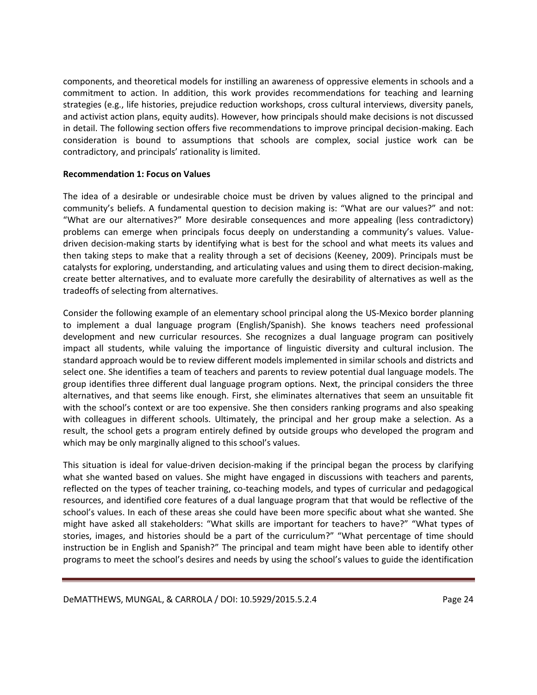components, and theoretical models for instilling an awareness of oppressive elements in schools and a commitment to action. In addition, this work provides recommendations for teaching and learning strategies (e.g., life histories, prejudice reduction workshops, cross cultural interviews, diversity panels, and activist action plans, equity audits). However, how principals should make decisions is not discussed in detail. The following section offers five recommendations to improve principal decision-making. Each consideration is bound to assumptions that schools are complex, social justice work can be contradictory, and principals' rationality is limited.

### **Recommendation 1: Focus on Values**

The idea of a desirable or undesirable choice must be driven by values aligned to the principal and community's beliefs. A fundamental question to decision making is: "What are our values?" and not: "What are our alternatives?" More desirable consequences and more appealing (less contradictory) problems can emerge when principals focus deeply on understanding a community's values. Valuedriven decision-making starts by identifying what is best for the school and what meets its values and then taking steps to make that a reality through a set of decisions (Keeney, 2009). Principals must be catalysts for exploring, understanding, and articulating values and using them to direct decision-making, create better alternatives, and to evaluate more carefully the desirability of alternatives as well as the tradeoffs of selecting from alternatives.

Consider the following example of an elementary school principal along the US-Mexico border planning to implement a dual language program (English/Spanish). She knows teachers need professional development and new curricular resources. She recognizes a dual language program can positively impact all students, while valuing the importance of linguistic diversity and cultural inclusion. The standard approach would be to review different models implemented in similar schools and districts and select one. She identifies a team of teachers and parents to review potential dual language models. The group identifies three different dual language program options. Next, the principal considers the three alternatives, and that seems like enough. First, she eliminates alternatives that seem an unsuitable fit with the school's context or are too expensive. She then considers ranking programs and also speaking with colleagues in different schools. Ultimately, the principal and her group make a selection. As a result, the school gets a program entirely defined by outside groups who developed the program and which may be only marginally aligned to this school's values.

This situation is ideal for value-driven decision-making if the principal began the process by clarifying what she wanted based on values. She might have engaged in discussions with teachers and parents, reflected on the types of teacher training, co-teaching models, and types of curricular and pedagogical resources, and identified core features of a dual language program that that would be reflective of the school's values. In each of these areas she could have been more specific about what she wanted. She might have asked all stakeholders: "What skills are important for teachers to have?" "What types of stories, images, and histories should be a part of the curriculum?" "What percentage of time should instruction be in English and Spanish?" The principal and team might have been able to identify other programs to meet the school's desires and needs by using the school's values to guide the identification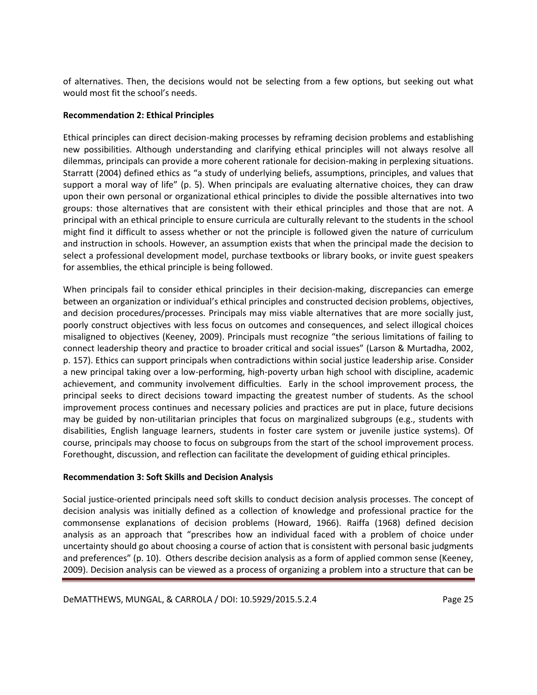of alternatives. Then, the decisions would not be selecting from a few options, but seeking out what would most fit the school's needs.

## **Recommendation 2: Ethical Principles**

Ethical principles can direct decision-making processes by reframing decision problems and establishing new possibilities. Although understanding and clarifying ethical principles will not always resolve all dilemmas, principals can provide a more coherent rationale for decision-making in perplexing situations. Starratt (2004) defined ethics as "a study of underlying beliefs, assumptions, principles, and values that support a moral way of life" (p. 5). When principals are evaluating alternative choices, they can draw upon their own personal or organizational ethical principles to divide the possible alternatives into two groups: those alternatives that are consistent with their ethical principles and those that are not. A principal with an ethical principle to ensure curricula are culturally relevant to the students in the school might find it difficult to assess whether or not the principle is followed given the nature of curriculum and instruction in schools. However, an assumption exists that when the principal made the decision to select a professional development model, purchase textbooks or library books, or invite guest speakers for assemblies, the ethical principle is being followed.

When principals fail to consider ethical principles in their decision-making, discrepancies can emerge between an organization or individual's ethical principles and constructed decision problems, objectives, and decision procedures/processes. Principals may miss viable alternatives that are more socially just, poorly construct objectives with less focus on outcomes and consequences, and select illogical choices misaligned to objectives (Keeney, 2009). Principals must recognize "the serious limitations of failing to connect leadership theory and practice to broader critical and social issues" (Larson & Murtadha, 2002, p. 157). Ethics can support principals when contradictions within social justice leadership arise. Consider a new principal taking over a low-performing, high-poverty urban high school with discipline, academic achievement, and community involvement difficulties. Early in the school improvement process, the principal seeks to direct decisions toward impacting the greatest number of students. As the school improvement process continues and necessary policies and practices are put in place, future decisions may be guided by non-utilitarian principles that focus on marginalized subgroups (e.g., students with disabilities, English language learners, students in foster care system or juvenile justice systems). Of course, principals may choose to focus on subgroups from the start of the school improvement process. Forethought, discussion, and reflection can facilitate the development of guiding ethical principles.

## **Recommendation 3: Soft Skills and Decision Analysis**

Social justice-oriented principals need soft skills to conduct decision analysis processes. The concept of decision analysis was initially defined as a collection of knowledge and professional practice for the commonsense explanations of decision problems (Howard, 1966). Raiffa (1968) defined decision analysis as an approach that "prescribes how an individual faced with a problem of choice under uncertainty should go about choosing a course of action that is consistent with personal basic judgments and preferences" (p. 10). Others describe decision analysis as a form of applied common sense (Keeney, 2009). Decision analysis can be viewed as a process of organizing a problem into a structure that can be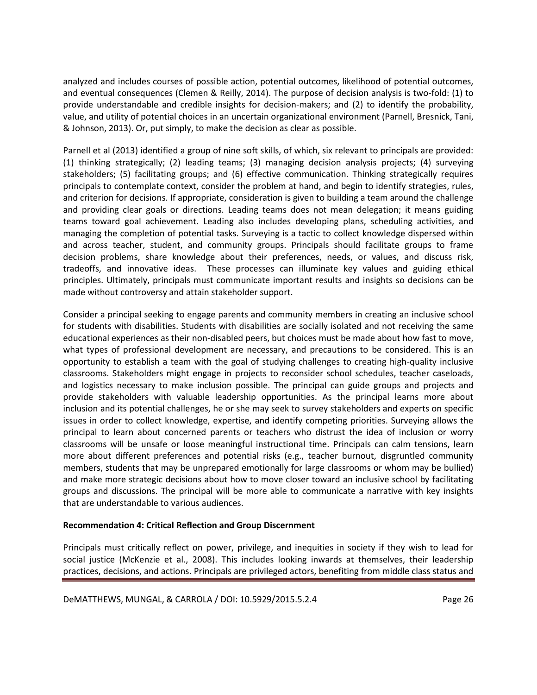analyzed and includes courses of possible action, potential outcomes, likelihood of potential outcomes, and eventual consequences (Clemen & Reilly, 2014). The purpose of decision analysis is two-fold: (1) to provide understandable and credible insights for decision-makers; and (2) to identify the probability, value, and utility of potential choices in an uncertain organizational environment (Parnell, Bresnick, Tani, & Johnson, 2013). Or, put simply, to make the decision as clear as possible.

Parnell et al (2013) identified a group of nine soft skills, of which, six relevant to principals are provided: (1) thinking strategically; (2) leading teams; (3) managing decision analysis projects; (4) surveying stakeholders; (5) facilitating groups; and (6) effective communication. Thinking strategically requires principals to contemplate context, consider the problem at hand, and begin to identify strategies, rules, and criterion for decisions. If appropriate, consideration is given to building a team around the challenge and providing clear goals or directions. Leading teams does not mean delegation; it means guiding teams toward goal achievement. Leading also includes developing plans, scheduling activities, and managing the completion of potential tasks. Surveying is a tactic to collect knowledge dispersed within and across teacher, student, and community groups. Principals should facilitate groups to frame decision problems, share knowledge about their preferences, needs, or values, and discuss risk, tradeoffs, and innovative ideas. These processes can illuminate key values and guiding ethical principles. Ultimately, principals must communicate important results and insights so decisions can be made without controversy and attain stakeholder support.

Consider a principal seeking to engage parents and community members in creating an inclusive school for students with disabilities. Students with disabilities are socially isolated and not receiving the same educational experiences as their non-disabled peers, but choices must be made about how fast to move, what types of professional development are necessary, and precautions to be considered. This is an opportunity to establish a team with the goal of studying challenges to creating high-quality inclusive classrooms. Stakeholders might engage in projects to reconsider school schedules, teacher caseloads, and logistics necessary to make inclusion possible. The principal can guide groups and projects and provide stakeholders with valuable leadership opportunities. As the principal learns more about inclusion and its potential challenges, he or she may seek to survey stakeholders and experts on specific issues in order to collect knowledge, expertise, and identify competing priorities. Surveying allows the principal to learn about concerned parents or teachers who distrust the idea of inclusion or worry classrooms will be unsafe or loose meaningful instructional time. Principals can calm tensions, learn more about different preferences and potential risks (e.g., teacher burnout, disgruntled community members, students that may be unprepared emotionally for large classrooms or whom may be bullied) and make more strategic decisions about how to move closer toward an inclusive school by facilitating groups and discussions. The principal will be more able to communicate a narrative with key insights that are understandable to various audiences.

## **Recommendation 4: Critical Reflection and Group Discernment**

Principals must critically reflect on power, privilege, and inequities in society if they wish to lead for social justice (McKenzie et al., 2008). This includes looking inwards at themselves, their leadership practices, decisions, and actions. Principals are privileged actors, benefiting from middle class status and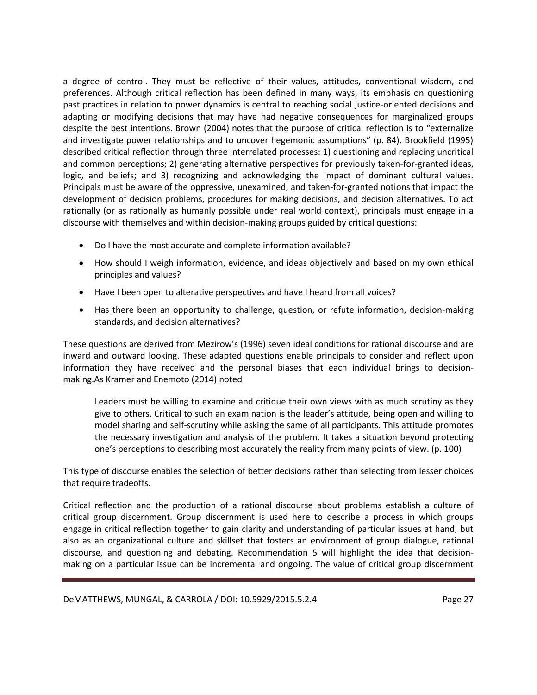a degree of control. They must be reflective of their values, attitudes, conventional wisdom, and preferences. Although critical reflection has been defined in many ways, its emphasis on questioning past practices in relation to power dynamics is central to reaching social justice-oriented decisions and adapting or modifying decisions that may have had negative consequences for marginalized groups despite the best intentions. Brown (2004) notes that the purpose of critical reflection is to "externalize and investigate power relationships and to uncover hegemonic assumptions" (p. 84). Brookfield (1995) described critical reflection through three interrelated processes: 1) questioning and replacing uncritical and common perceptions; 2) generating alternative perspectives for previously taken-for-granted ideas, logic, and beliefs; and 3) recognizing and acknowledging the impact of dominant cultural values. Principals must be aware of the oppressive, unexamined, and taken-for-granted notions that impact the development of decision problems, procedures for making decisions, and decision alternatives. To act rationally (or as rationally as humanly possible under real world context), principals must engage in a discourse with themselves and within decision-making groups guided by critical questions:

- Do I have the most accurate and complete information available?
- How should I weigh information, evidence, and ideas objectively and based on my own ethical principles and values?
- Have I been open to alterative perspectives and have I heard from all voices?
- Has there been an opportunity to challenge, question, or refute information, decision-making standards, and decision alternatives?

These questions are derived from Mezirow's (1996) seven ideal conditions for rational discourse and are inward and outward looking. These adapted questions enable principals to consider and reflect upon information they have received and the personal biases that each individual brings to decisionmaking.As Kramer and Enemoto (2014) noted

Leaders must be willing to examine and critique their own views with as much scrutiny as they give to others. Critical to such an examination is the leader's attitude, being open and willing to model sharing and self-scrutiny while asking the same of all participants. This attitude promotes the necessary investigation and analysis of the problem. It takes a situation beyond protecting one's perceptions to describing most accurately the reality from many points of view. (p. 100)

This type of discourse enables the selection of better decisions rather than selecting from lesser choices that require tradeoffs.

Critical reflection and the production of a rational discourse about problems establish a culture of critical group discernment. Group discernment is used here to describe a process in which groups engage in critical reflection together to gain clarity and understanding of particular issues at hand, but also as an organizational culture and skillset that fosters an environment of group dialogue, rational discourse, and questioning and debating. Recommendation 5 will highlight the idea that decisionmaking on a particular issue can be incremental and ongoing. The value of critical group discernment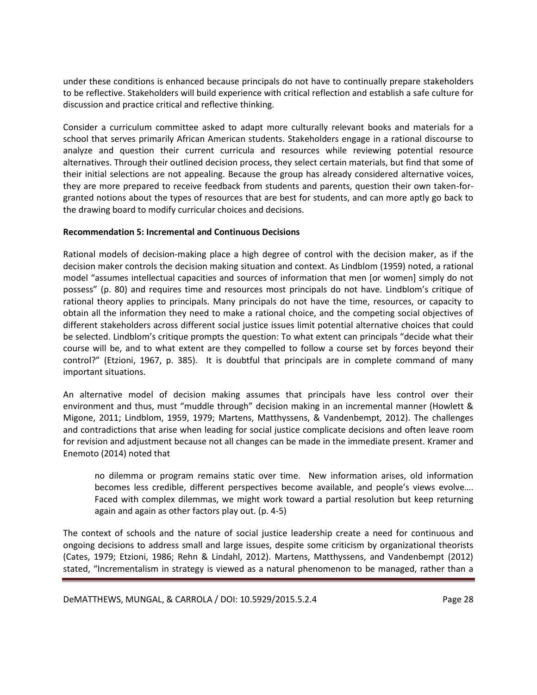under these conditions is enhanced because principals do not have to continually prepare stakeholders to be reflective. Stakeholders will build experience with critical reflection and establish a safe culture for discussion and practice critical and reflective thinking.

Consider a curriculum committee asked to adapt more culturally relevant books and materials for a school that serves primarily African American students. Stakeholders engage in a rational discourse to analyze and question their current curricula and resources while reviewing potential resource alternatives. Through their outlined decision process, they select certain materials, but find that some of their initial selections are not appealing. Because the group has already considered alternative voices, they are more prepared to receive feedback from students and parents, question their own taken-forgranted notions about the types of resources that are best for students, and can more aptly go back to the drawing board to modify curricular choices and decisions.

### **Recommendation 5: Incremental and Continuous Decisions**

Rational models of decision-making place a high degree of control with the decision maker, as if the decision maker controls the decision making situation and context. As Lindblom (1959) noted, a rational model "assumes intellectual capacities and sources of information that men [or women] simply do not possess" (p. 80) and requires time and resources most principals do not have. Lindblom's critique of rational theory applies to principals. Many principals do not have the time, resources, or capacity to obtain all the information they need to make a rational choice, and the competing social objectives of different stakeholders across different social justice issues limit potential alternative choices that could be selected. Lindblom's critique prompts the question: To what extent can principals "decide what their course will be, and to what extent are they compelled to follow a course set by forces beyond their control?" (Etzioni, 1967, p. 385). It is doubtful that principals are in complete command of many important situations.

An alternative model of decision making assumes that principals have less control over their environment and thus, must "muddle through" decision making in an incremental manner (Howlett & Migone, 2011; Lindblom, 1959, 1979; Martens, Matthyssens, & Vandenbempt, 2012). The challenges and contradictions that arise when leading for social justice complicate decisions and often leave room for revision and adjustment because not all changes can be made in the immediate present. Kramer and Enemoto (2014) noted that

no dilemma or program remains static over time. New information arises, old information becomes less credible, different perspectives become available, and people's views evolve…. Faced with complex dilemmas, we might work toward a partial resolution but keep returning again and again as other factors play out. (p. 4-5)

The context of schools and the nature of social justice leadership create a need for continuous and ongoing decisions to address small and large issues, despite some criticism by organizational theorists (Cates, 1979; Etzioni, 1986; Rehn & Lindahl, 2012). Martens, Matthyssens, and Vandenbempt (2012) stated, "Incrementalism in strategy is viewed as a natural phenomenon to be managed, rather than a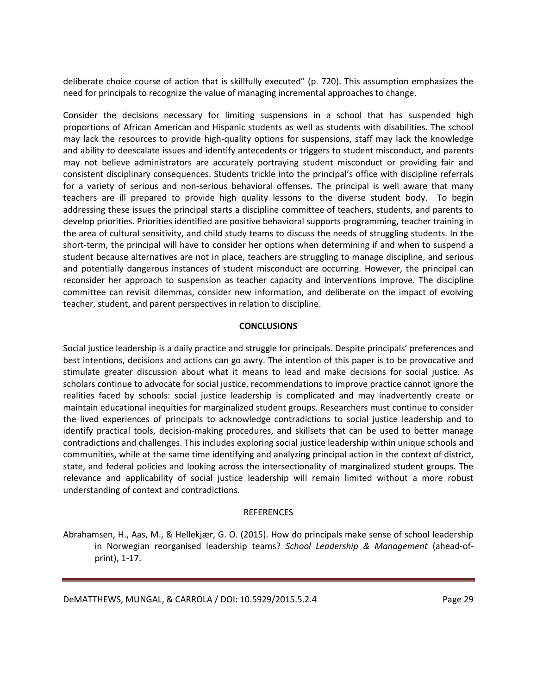deliberate choice course of action that is skillfully executed" (p. 720). This assumption emphasizes the need for principals to recognize the value of managing incremental approaches to change.

Consider the decisions necessary for limiting suspensions in a school that has suspended high proportions of African American and Hispanic students as well as students with disabilities. The school may lack the resources to provide high-quality options for suspensions, staff may lack the knowledge and ability to deescalate issues and identify antecedents or triggers to student misconduct, and parents may not believe administrators are accurately portraying student misconduct or providing fair and consistent disciplinary consequences. Students trickle into the principal's office with discipline referrals for a variety of serious and non-serious behavioral offenses. The principal is well aware that many teachers are ill prepared to provide high quality lessons to the diverse student body. To begin addressing these issues the principal starts a discipline committee of teachers, students, and parents to develop priorities. Priorities identified are positive behavioral supports programming, teacher training in the area of cultural sensitivity, and child study teams to discuss the needs of struggling students. In the short-term, the principal will have to consider her options when determining if and when to suspend a student because alternatives are not in place, teachers are struggling to manage discipline, and serious and potentially dangerous instances of student misconduct are occurring. However, the principal can reconsider her approach to suspension as teacher capacity and interventions improve. The discipline committee can revisit dilemmas, consider new information, and deliberate on the impact of evolving teacher, student, and parent perspectives in relation to discipline.

## **CONCLUSIONS**

Social justice leadership is a daily practice and struggle for principals. Despite principals' preferences and best intentions, decisions and actions can go awry. The intention of this paper is to be provocative and stimulate greater discussion about what it means to lead and make decisions for social justice. As scholars continue to advocate for social justice, recommendations to improve practice cannot ignore the realities faced by schools: social justice leadership is complicated and may inadvertently create or maintain educational inequities for marginalized student groups. Researchers must continue to consider the lived experiences of principals to acknowledge contradictions to social justice leadership and to identify practical tools, decision-making procedures, and skillsets that can be used to better manage contradictions and challenges. This includes exploring social justice leadership within unique schools and communities, while at the same time identifying and analyzing principal action in the context of district, state, and federal policies and looking across the intersectionality of marginalized student groups. The relevance and applicability of social justice leadership will remain limited without a more robust understanding of context and contradictions.

#### **REFERENCES**

Abrahamsen, H., Aas, M., & Hellekjær, G. O. (2015). How do principals make sense of school leadership in Norwegian reorganised leadership teams? *School Leadership & Management* (ahead-ofprint), 1-17.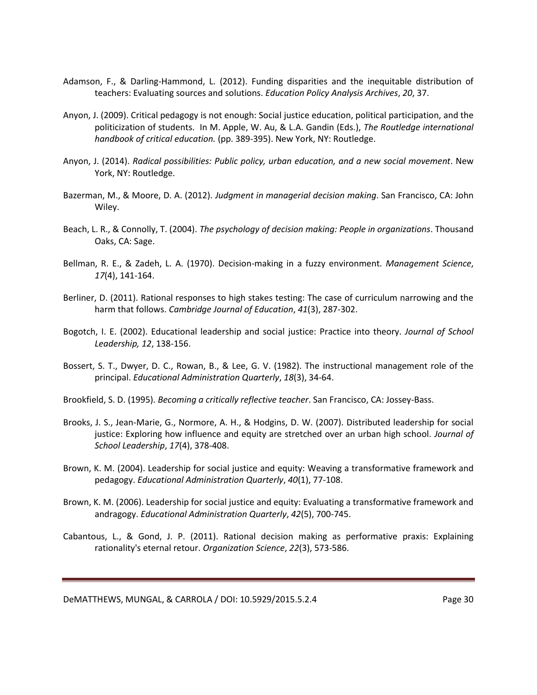- Adamson, F., & Darling-Hammond, L. (2012). Funding disparities and the inequitable distribution of teachers: Evaluating sources and solutions. *Education Policy Analysis Archives*, *20*, 37.
- Anyon, J. (2009). Critical pedagogy is not enough: Social justice education, political participation, and the politicization of students. In M. Apple, W. Au, & L.A. Gandin (Eds.), *The Routledge international handbook of critical education.* (pp. 389-395). New York, NY: Routledge.
- Anyon, J. (2014). *Radical possibilities: Public policy, urban education, and a new social movement*. New York, NY: Routledge.
- Bazerman, M., & Moore, D. A. (2012). *Judgment in managerial decision making*. San Francisco, CA: John Wiley.
- Beach, L. R., & Connolly, T. (2004). *The psychology of decision making: People in organizations*. Thousand Oaks, CA: Sage.
- Bellman, R. E., & Zadeh, L. A. (1970). Decision-making in a fuzzy environment. *Management Science*, *17*(4), 141-164.
- Berliner, D. (2011). Rational responses to high stakes testing: The case of curriculum narrowing and the harm that follows. *Cambridge Journal of Education*, *41*(3), 287-302.
- Bogotch, I. E. (2002). Educational leadership and social justice: Practice into theory. *Journal of School Leadership, 12*, 138-156.
- Bossert, S. T., Dwyer, D. C., Rowan, B., & Lee, G. V. (1982). The instructional management role of the principal. *Educational Administration Quarterly*, *18*(3), 34-64.
- Brookfield, S. D. (1995). *Becoming a critically reflective teacher*. San Francisco, CA: Jossey-Bass.
- Brooks, J. S., Jean-Marie, G., Normore, A. H., & Hodgins, D. W. (2007). Distributed leadership for social justice: Exploring how influence and equity are stretched over an urban high school. *Journal of School Leadership*, *17*(4), 378-408.
- Brown, K. M. (2004). Leadership for social justice and equity: Weaving a transformative framework and pedagogy. *Educational Administration Quarterly*, *40*(1), 77-108.
- Brown, K. M. (2006). Leadership for social justice and equity: Evaluating a transformative framework and andragogy. *Educational Administration Quarterly*, *42*(5), 700-745.
- Cabantous, L., & Gond, J. P. (2011). Rational decision making as performative praxis: Explaining rationality's eternal retour. *Organization Science*, *22*(3), 573-586.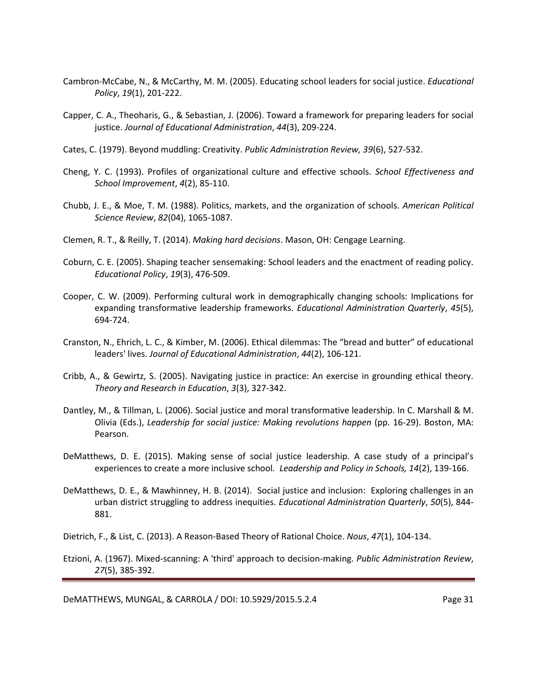- Cambron-McCabe, N., & McCarthy, M. M. (2005). Educating school leaders for social justice. *Educational Policy*, *19*(1), 201-222.
- Capper, C. A., Theoharis, G., & Sebastian, J. (2006). Toward a framework for preparing leaders for social justice. *Journal of Educational Administration*, *44*(3), 209-224.
- Cates, C. (1979). Beyond muddling: Creativity. *Public Administration Review, 39*(6), 527-532.
- Cheng, Y. C. (1993). Profiles of organizational culture and effective schools. *School Effectiveness and School Improvement*, *4*(2), 85-110.
- Chubb, J. E., & Moe, T. M. (1988). Politics, markets, and the organization of schools. *American Political Science Review*, *82*(04), 1065-1087.
- Clemen, R. T., & Reilly, T. (2014). *Making hard decisions*. Mason, OH: Cengage Learning.
- Coburn, C. E. (2005). Shaping teacher sensemaking: School leaders and the enactment of reading policy. *Educational Policy*, *19*(3), 476-509.
- Cooper, C. W. (2009). Performing cultural work in demographically changing schools: Implications for expanding transformative leadership frameworks. *Educational Administration Quarterly*, *45*(5), 694-724.
- Cranston, N., Ehrich, L. C., & Kimber, M. (2006). Ethical dilemmas: The "bread and butter" of educational leaders' lives. *Journal of Educational Administration*, *44*(2), 106-121.
- Cribb, A., & Gewirtz, S. (2005). Navigating justice in practice: An exercise in grounding ethical theory. *Theory and Research in Education*, *3*(3), 327-342.
- Dantley, M., & Tillman, L. (2006). Social justice and moral transformative leadership. In C. Marshall & M. Olivia (Eds.), *Leadership for social justice: Making revolutions happen* (pp. 16-29). Boston, MA: Pearson.
- DeMatthews, D. E. (2015). Making sense of social justice leadership. A case study of a principal's experiences to create a more inclusive school*. Leadership and Policy in Schools, 14*(2), 139-166.
- DeMatthews, D. E., & Mawhinney, H. B. (2014). Social justice and inclusion: Exploring challenges in an urban district struggling to address inequities. *Educational Administration Quarterly*, *50*(5), 844- 881.

Dietrich, F., & List, C. (2013). A Reason-Based Theory of Rational Choice. *Nous*, *47*(1), 104-134.

Etzioni, A. (1967). Mixed-scanning: A 'third' approach to decision-making. *Public Administration Review*, *27*(5), 385-392.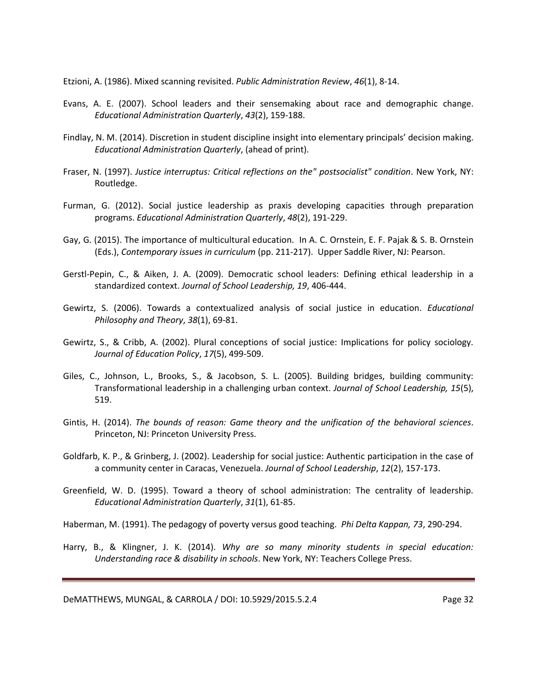Etzioni, A. (1986). Mixed scanning revisited. *Public Administration Review*, *46*(1), 8-14.

- Evans, A. E. (2007). School leaders and their sensemaking about race and demographic change. *Educational Administration Quarterly*, *43*(2), 159-188.
- Findlay, N. M. (2014). Discretion in student discipline insight into elementary principals' decision making. *Educational Administration Quarterly*, (ahead of print).
- Fraser, N. (1997). *Justice interruptus: Critical reflections on the" postsocialist" condition*. New York, NY: Routledge.
- Furman, G. (2012). Social justice leadership as praxis developing capacities through preparation programs. *Educational Administration Quarterly*, *48*(2), 191-229.
- Gay, G. (2015). The importance of multicultural education. In A. C. Ornstein, E. F. Pajak & S. B. Ornstein (Eds.), *Contemporary issues in curriculum* (pp. 211-217). Upper Saddle River, NJ: Pearson.
- Gerstl-Pepin, C., & Aiken, J. A. (2009). Democratic school leaders: Defining ethical leadership in a standardized context. *Journal of School Leadership, 19*, 406-444.
- Gewirtz, S. (2006). Towards a contextualized analysis of social justice in education. *Educational Philosophy and Theory*, *38*(1), 69-81.
- Gewirtz, S., & Cribb, A. (2002). Plural conceptions of social justice: Implications for policy sociology. *Journal of Education Policy*, *17*(5), 499-509.
- Giles, C., Johnson, L., Brooks, S., & Jacobson, S. L. (2005). Building bridges, building community: Transformational leadership in a challenging urban context. *Journal of School Leadership, 15*(5), 519.
- Gintis, H. (2014). *The bounds of reason: Game theory and the unification of the behavioral sciences*. Princeton, NJ: Princeton University Press.
- Goldfarb, K. P., & Grinberg, J. (2002). Leadership for social justice: Authentic participation in the case of a community center in Caracas, Venezuela. *Journal of School Leadership*, *12*(2), 157-173.
- Greenfield, W. D. (1995). Toward a theory of school administration: The centrality of leadership. *Educational Administration Quarterly*, *31*(1), 61-85.

Haberman, M. (1991). The pedagogy of poverty versus good teaching. *Phi Delta Kappan, 73*, 290-294.

Harry, B., & Klingner, J. K. (2014). *Why are so many minority students in special education: Understanding race & disability in schools*. New York, NY: Teachers College Press.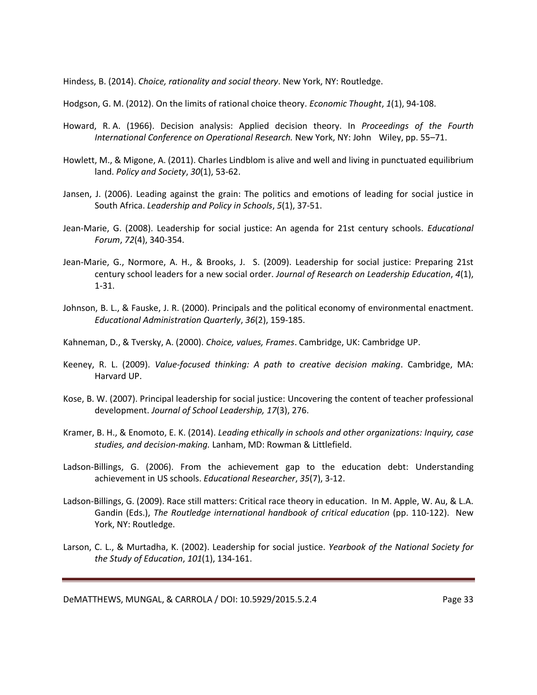Hindess, B. (2014). *Choice, rationality and social theory*. New York, NY: Routledge.

Hodgson, G. M. (2012). On the limits of rational choice theory. *Economic Thought*, *1*(1), 94-108.

- Howard, R. A. (1966). Decision analysis: Applied decision theory. In *Proceedings of the Fourth International Conference on Operational Research.* New York, NY: John Wiley, pp. 55–71.
- Howlett, M., & Migone, A. (2011). Charles Lindblom is alive and well and living in punctuated equilibrium land. *Policy and Society*, *30*(1), 53-62.
- Jansen, J. (2006). Leading against the grain: The politics and emotions of leading for social justice in South Africa. *Leadership and Policy in Schools*, *5*(1), 37-51.
- Jean-Marie, G. (2008). Leadership for social justice: An agenda for 21st century schools. *Educational Forum*, *72*(4), 340-354.
- Jean-Marie, G., Normore, A. H., & Brooks, J. S. (2009). Leadership for social justice: Preparing 21st century school leaders for a new social order. *Journal of Research on Leadership Education*, *4*(1), 1-31.
- Johnson, B. L., & Fauske, J. R. (2000). Principals and the political economy of environmental enactment. *Educational Administration Quarterly*, *36*(2), 159-185.
- Kahneman, D., & Tversky, A. (2000). *Choice, values, Frames*. Cambridge, UK: Cambridge UP.
- Keeney, R. L. (2009). *Value-focused thinking: A path to creative decision making*. Cambridge, MA: Harvard UP.
- Kose, B. W. (2007). Principal leadership for social justice: Uncovering the content of teacher professional development. *Journal of School Leadership, 17*(3), 276.
- Kramer, B. H., & Enomoto, E. K. (2014). *Leading ethically in schools and other organizations: Inquiry, case studies, and decision-making.* Lanham, MD: Rowman & Littlefield.
- Ladson-Billings, G. (2006). From the achievement gap to the education debt: Understanding achievement in US schools. *Educational Researcher*, *35*(7), 3-12.
- Ladson-Billings, G. (2009). Race still matters: Critical race theory in education. In M. Apple, W. Au, & L.A. Gandin (Eds.), *The Routledge international handbook of critical education* (pp. 110-122). New York, NY: Routledge.
- Larson, C. L., & Murtadha, K. (2002). Leadership for social justice. *Yearbook of the National Society for the Study of Education*, *101*(1), 134-161.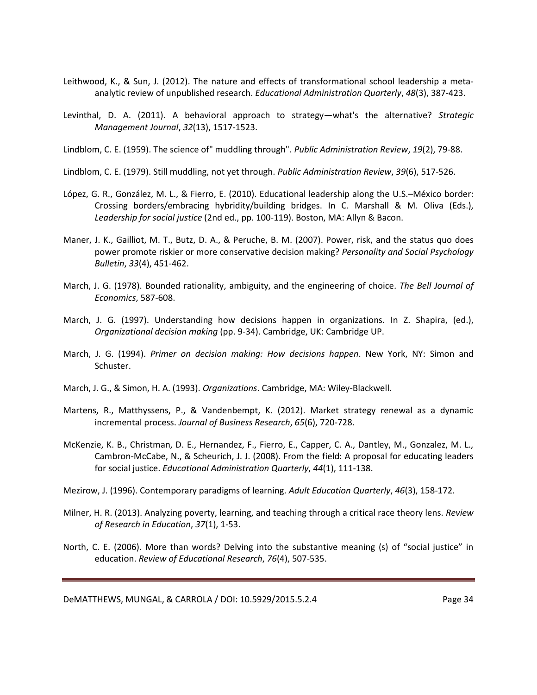- Leithwood, K., & Sun, J. (2012). The nature and effects of transformational school leadership a metaanalytic review of unpublished research. *Educational Administration Quarterly*, *48*(3), 387-423.
- Levinthal, D. A. (2011). A behavioral approach to strategy—what's the alternative? *Strategic Management Journal*, *32*(13), 1517-1523.
- Lindblom, C. E. (1959). The science of" muddling through". *Public Administration Review*, *19*(2), 79-88.
- Lindblom, C. E. (1979). Still muddling, not yet through. *Public Administration Review*, *39*(6), 517-526.
- López, G. R., González, M. L., & Fierro, E. (2010). Educational leadership along the U.S.–México border: Crossing borders/embracing hybridity/building bridges. In C. Marshall & M. Oliva (Eds.), *Leadership for social justice* (2nd ed., pp. 100-119). Boston, MA: Allyn & Bacon.
- Maner, J. K., Gailliot, M. T., Butz, D. A., & Peruche, B. M. (2007). Power, risk, and the status quo does power promote riskier or more conservative decision making? *Personality and Social Psychology Bulletin*, *33*(4), 451-462.
- March, J. G. (1978). Bounded rationality, ambiguity, and the engineering of choice. *The Bell Journal of Economics*, 587-608.
- March, J. G. (1997). Understanding how decisions happen in organizations. In Z. Shapira, (ed.), *Organizational decision making* (pp. 9-34). Cambridge, UK: Cambridge UP.
- March, J. G. (1994). *Primer on decision making: How decisions happen*. New York, NY: Simon and Schuster.
- March, J. G., & Simon, H. A. (1993). *Organizations*. Cambridge, MA: Wiley-Blackwell.
- Martens, R., Matthyssens, P., & Vandenbempt, K. (2012). Market strategy renewal as a dynamic incremental process. *Journal of Business Research*, *65*(6), 720-728.
- McKenzie, K. B., Christman, D. E., Hernandez, F., Fierro, E., Capper, C. A., Dantley, M., Gonzalez, M. L., Cambron-McCabe, N., & Scheurich, J. J. (2008). From the field: A proposal for educating leaders for social justice. *Educational Administration Quarterly*, *44*(1), 111-138.
- Mezirow, J. (1996). Contemporary paradigms of learning. *Adult Education Quarterly*, *46*(3), 158-172.
- Milner, H. R. (2013). Analyzing poverty, learning, and teaching through a critical race theory lens. *Review of Research in Education*, *37*(1), 1-53.
- North, C. E. (2006). More than words? Delving into the substantive meaning (s) of "social justice" in education. *Review of Educational Research*, *76*(4), 507-535.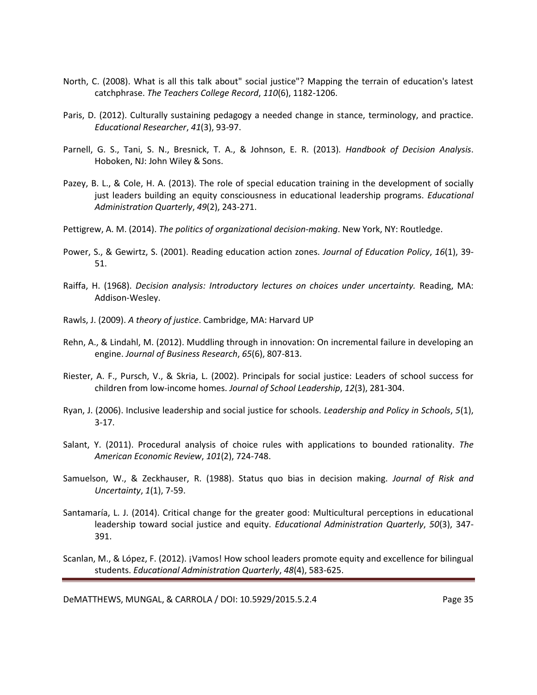- North, C. (2008). What is all this talk about" social justice"? Mapping the terrain of education's latest catchphrase. *The Teachers College Record*, *110*(6), 1182-1206.
- Paris, D. (2012). Culturally sustaining pedagogy a needed change in stance, terminology, and practice. *Educational Researcher*, *41*(3), 93-97.
- Parnell, G. S., Tani, S. N., Bresnick, T. A., & Johnson, E. R. (2013)*. Handbook of Decision Analysis*. Hoboken, NJ: John Wiley & Sons.
- Pazey, B. L., & Cole, H. A. (2013). The role of special education training in the development of socially just leaders building an equity consciousness in educational leadership programs. *Educational Administration Quarterly*, *49*(2), 243-271.
- Pettigrew, A. M. (2014). *The politics of organizational decision-making*. New York, NY: Routledge.
- Power, S., & Gewirtz, S. (2001). Reading education action zones. *Journal of Education Policy*, *16*(1), 39- 51.
- Raiffa, H. (1968). *Decision analysis: Introductory lectures on choices under uncertainty.* Reading, MA: Addison-Wesley.
- Rawls, J. (2009). *A theory of justice*. Cambridge, MA: Harvard UP
- Rehn, A., & Lindahl, M. (2012). Muddling through in innovation: On incremental failure in developing an engine. *Journal of Business Research*, *65*(6), 807-813.
- Riester, A. F., Pursch, V., & Skria, L. (2002). Principals for social justice: Leaders of school success for children from low-income homes. *Journal of School Leadership*, *12*(3), 281-304.
- Ryan, J. (2006). Inclusive leadership and social justice for schools. *Leadership and Policy in Schools*, *5*(1), 3-17.
- Salant, Y. (2011). Procedural analysis of choice rules with applications to bounded rationality. *The American Economic Review*, *101*(2), 724-748.
- Samuelson, W., & Zeckhauser, R. (1988). Status quo bias in decision making. *Journal of Risk and Uncertainty*, *1*(1), 7-59.
- Santamaría, L. J. (2014). Critical change for the greater good: Multicultural perceptions in educational leadership toward social justice and equity. *Educational Administration Quarterly*, *50*(3), 347- 391.
- Scanlan, M., & López, F. (2012). ¡Vamos! How school leaders promote equity and excellence for bilingual students. *Educational Administration Quarterly*, *48*(4), 583-625.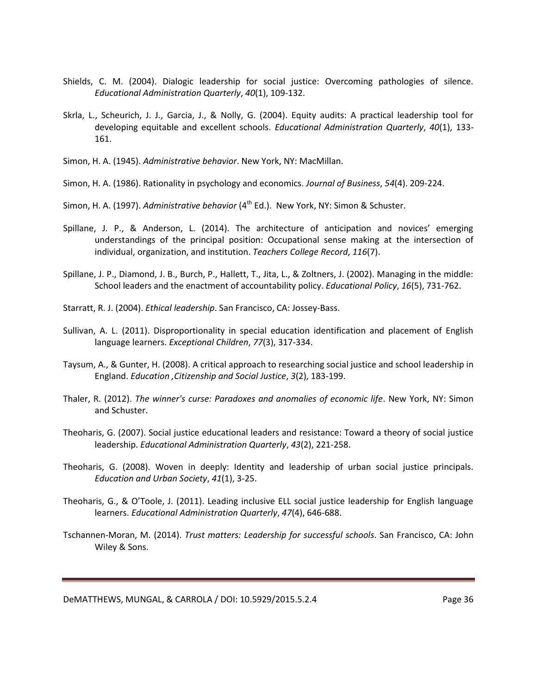- Shields, C. M. (2004). Dialogic leadership for social justice: Overcoming pathologies of silence. *Educational Administration Quarterly*, *40*(1), 109-132.
- Skrla, L., Scheurich, J. J., Garcia, J., & Nolly, G. (2004). Equity audits: A practical leadership tool for developing equitable and excellent schools. *Educational Administration Quarterly*, *40*(1), 133- 161.
- Simon, H. A. (1945). *Administrative behavior*. New York, NY: MacMillan.
- Simon, H. A. (1986). Rationality in psychology and economics. *Journal of Business*, *54*(4). 209-224.
- Simon, H. A. (1997). *Administrative behavior* (4<sup>th</sup> Ed.). New York, NY: Simon & Schuster.
- Spillane, J. P., & Anderson, L. (2014). The architecture of anticipation and novices' emerging understandings of the principal position: Occupational sense making at the intersection of individual, organization, and institution. *Teachers College Record*, *116*(7).
- Spillane, J. P., Diamond, J. B., Burch, P., Hallett, T., Jita, L., & Zoltners, J. (2002). Managing in the middle: School leaders and the enactment of accountability policy. *Educational Policy*, *16*(5), 731-762.
- Starratt, R. J. (2004). *Ethical leadership*. San Francisco, CA: Jossey-Bass.
- Sullivan, A. L. (2011). Disproportionality in special education identification and placement of English language learners. *Exceptional Children*, *77*(3), 317-334.
- Taysum, A., & Gunter, H. (2008). A critical approach to researching social justice and school leadership in England. *Education ,Citizenship and Social Justice*, *3*(2), 183-199.
- Thaler, R. (2012). *The winner's curse: Paradoxes and anomalies of economic life*. New York, NY: Simon and Schuster.
- Theoharis, G. (2007). Social justice educational leaders and resistance: Toward a theory of social justice leadership. *Educational Administration Quarterly*, *43*(2), 221-258.
- Theoharis, G. (2008). Woven in deeply: Identity and leadership of urban social justice principals. *Education and Urban Society*, *41*(1), 3-25.
- Theoharis, G., & O'Toole, J. (2011). Leading inclusive ELL social justice leadership for English language learners. *Educational Administration Quarterly*, *47*(4), 646-688.
- Tschannen-Moran, M. (2014). *Trust matters: Leadership for successful schools*. San Francisco, CA: John Wiley & Sons.